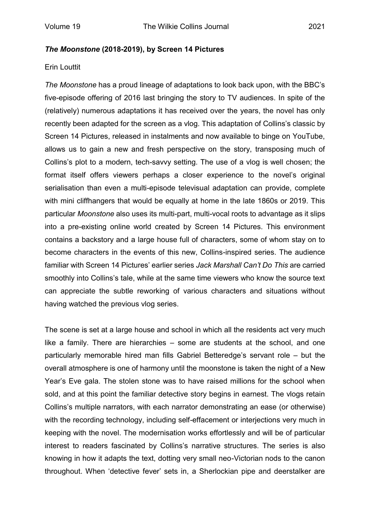## *The Moonstone* **(2018-2019), by Screen 14 Pictures**

## Erin Louttit

*The Moonstone* has a proud lineage of adaptations to look back upon, with the BBC's five-episode offering of 2016 last bringing the story to TV audiences. In spite of the (relatively) numerous adaptations it has received over the years, the novel has only recently been adapted for the screen as a vlog. This adaptation of Collins's classic by Screen 14 Pictures, released in instalments and now available to binge on YouTube, allows us to gain a new and fresh perspective on the story, transposing much of Collins's plot to a modern, tech-savvy setting. The use of a vlog is well chosen; the format itself offers viewers perhaps a closer experience to the novel's original serialisation than even a multi-episode televisual adaptation can provide, complete with mini cliffhangers that would be equally at home in the late 1860s or 2019. This particular *Moonstone* also uses its multi-part, multi-vocal roots to advantage as it slips into a pre-existing online world created by Screen 14 Pictures. This environment contains a backstory and a large house full of characters, some of whom stay on to become characters in the events of this new, Collins-inspired series. The audience familiar with Screen 14 Pictures' earlier series *Jack Marshall Can't Do This* are carried smoothly into Collins's tale, while at the same time viewers who know the source text can appreciate the subtle reworking of various characters and situations without having watched the previous vlog series.

The scene is set at a large house and school in which all the residents act very much like a family. There are hierarchies – some are students at the school, and one particularly memorable hired man fills Gabriel Betteredge's servant role – but the overall atmosphere is one of harmony until the moonstone is taken the night of a New Year's Eve gala. The stolen stone was to have raised millions for the school when sold, and at this point the familiar detective story begins in earnest. The vlogs retain Collins's multiple narrators, with each narrator demonstrating an ease (or otherwise) with the recording technology, including self-effacement or interjections very much in keeping with the novel. The modernisation works effortlessly and will be of particular interest to readers fascinated by Collins's narrative structures. The series is also knowing in how it adapts the text, dotting very small neo-Victorian nods to the canon throughout. When 'detective fever' sets in, a Sherlockian pipe and deerstalker are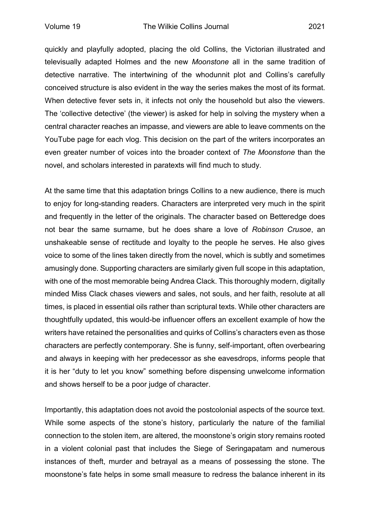quickly and playfully adopted, placing the old Collins, the Victorian illustrated and televisually adapted Holmes and the new *Moonstone* all in the same tradition of detective narrative. The intertwining of the whodunnit plot and Collins's carefully conceived structure is also evident in the way the series makes the most of its format. When detective fever sets in, it infects not only the household but also the viewers. The 'collective detective' (the viewer) is asked for help in solving the mystery when a central character reaches an impasse, and viewers are able to leave comments on the YouTube page for each vlog. This decision on the part of the writers incorporates an even greater number of voices into the broader context of *The Moonstone* than the novel, and scholars interested in paratexts will find much to study.

At the same time that this adaptation brings Collins to a new audience, there is much to enjoy for long-standing readers. Characters are interpreted very much in the spirit and frequently in the letter of the originals. The character based on Betteredge does not bear the same surname, but he does share a love of *Robinson Crusoe*, an unshakeable sense of rectitude and loyalty to the people he serves. He also gives voice to some of the lines taken directly from the novel, which is subtly and sometimes amusingly done. Supporting characters are similarly given full scope in this adaptation, with one of the most memorable being Andrea Clack. This thoroughly modern, digitally minded Miss Clack chases viewers and sales, not souls, and her faith, resolute at all times, is placed in essential oils rather than scriptural texts. While other characters are thoughtfully updated, this would-be influencer offers an excellent example of how the writers have retained the personalities and quirks of Collins's characters even as those characters are perfectly contemporary. She is funny, self-important, often overbearing and always in keeping with her predecessor as she eavesdrops, informs people that it is her "duty to let you know" something before dispensing unwelcome information and shows herself to be a poor judge of character.

Importantly, this adaptation does not avoid the postcolonial aspects of the source text. While some aspects of the stone's history, particularly the nature of the familial connection to the stolen item, are altered, the moonstone's origin story remains rooted in a violent colonial past that includes the Siege of Seringapatam and numerous instances of theft, murder and betrayal as a means of possessing the stone. The moonstone's fate helps in some small measure to redress the balance inherent in its